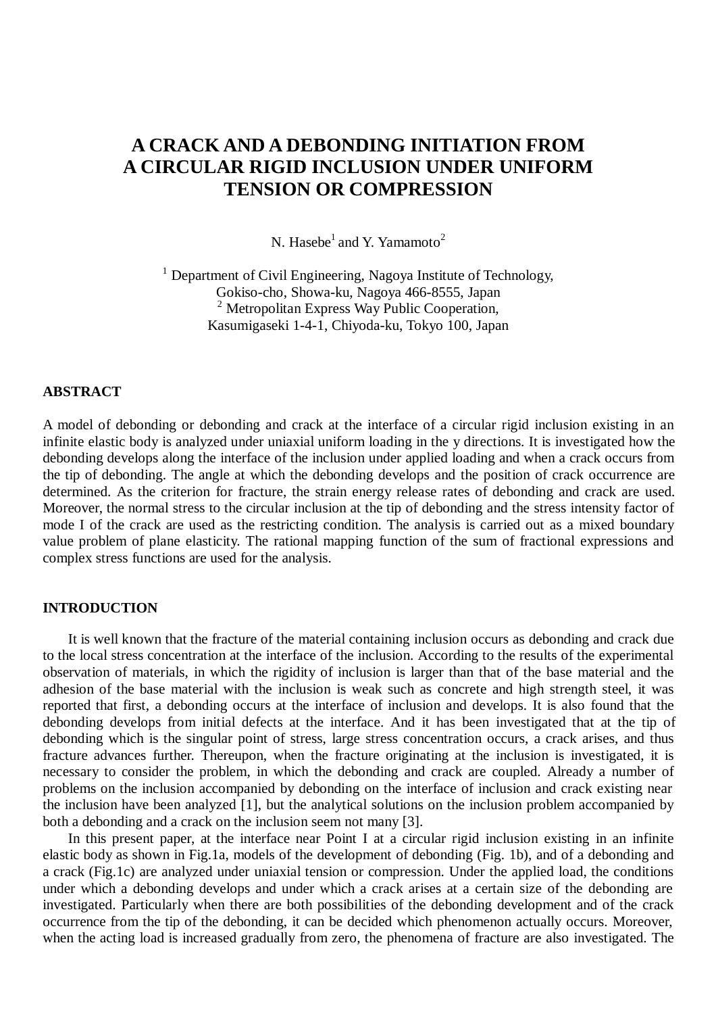# **A CRACK AND A DEBONDING INITIATION FROM A CIRCULAR RIGID INCLUSION UNDER UNIFORM TENSION OR COMPRESSION**

N. Hasebe<sup>1</sup> and Y. Yamamoto<sup>2</sup>

<sup>1</sup> Department of Civil Engineering, Nagoya Institute of Technology, Gokiso-cho, Showa-ku, Nagoya 466-8555, Japan <sup>2</sup> Metropolitan Express Way Public Cooperation, Kasumigaseki 1-4-1, Chiyoda-ku, Tokyo 100, Japan

# **ABSTRACT**

A model of debonding or debonding and crack at the interface of a circular rigid inclusion existing in an infinite elastic body is analyzed under uniaxial uniform loading in the y directions. It is investigated how the debonding develops along the interface of the inclusion under applied loading and when a crack occurs from the tip of debonding. The angle at which the debonding develops and the position of crack occurrence are determined. As the criterion for fracture, the strain energy release rates of debonding and crack are used. Moreover, the normal stress to the circular inclusion at the tip of debonding and the stress intensity factor of mode I of the crack are used as the restricting condition. The analysis is carried out as a mixed boundary value problem of plane elasticity. The rational mapping function of the sum of fractional expressions and complex stress functions are used for the analysis.

# **INTRODUCTION**

It is well known that the fracture of the material containing inclusion occurs as debonding and crack due to the local stress concentration at the interface of the inclusion. According to the results of the experimental observation of materials, in which the rigidity of inclusion is larger than that of the base material and the adhesion of the base material with the inclusion is weak such as concrete and high strength steel, it was reported that first, a debonding occurs at the interface of inclusion and develops. It is also found that the debonding develops from initial defects at the interface. And it has been investigated that at the tip of debonding which is the singular point of stress, large stress concentration occurs, a crack arises, and thus fracture advances further. Thereupon, when the fracture originating at the inclusion is investigated, it is necessary to consider the problem, in which the debonding and crack are coupled. Already a number of problems on the inclusion accompanied by debonding on the interface of inclusion and crack existing near the inclusion have been analyzed [1], but the analytical solutions on the inclusion problem accompanied by both a debonding and a crack on the inclusion seem not many [3].

In this present paper, at the interface near Point I at a circular rigid inclusion existing in an infinite elastic body as shown in Fig.1a, models of the development of debonding (Fig. 1b), and of a debonding and a crack (Fig.1c) are analyzed under uniaxial tension or compression. Under the applied load, the conditions under which a debonding develops and under which a crack arises at a certain size of the debonding are investigated. Particularly when there are both possibilities of the debonding development and of the crack occurrence from the tip of the debonding, it can be decided which phenomenon actually occurs. Moreover, when the acting load is increased gradually from zero, the phenomena of fracture are also investigated. The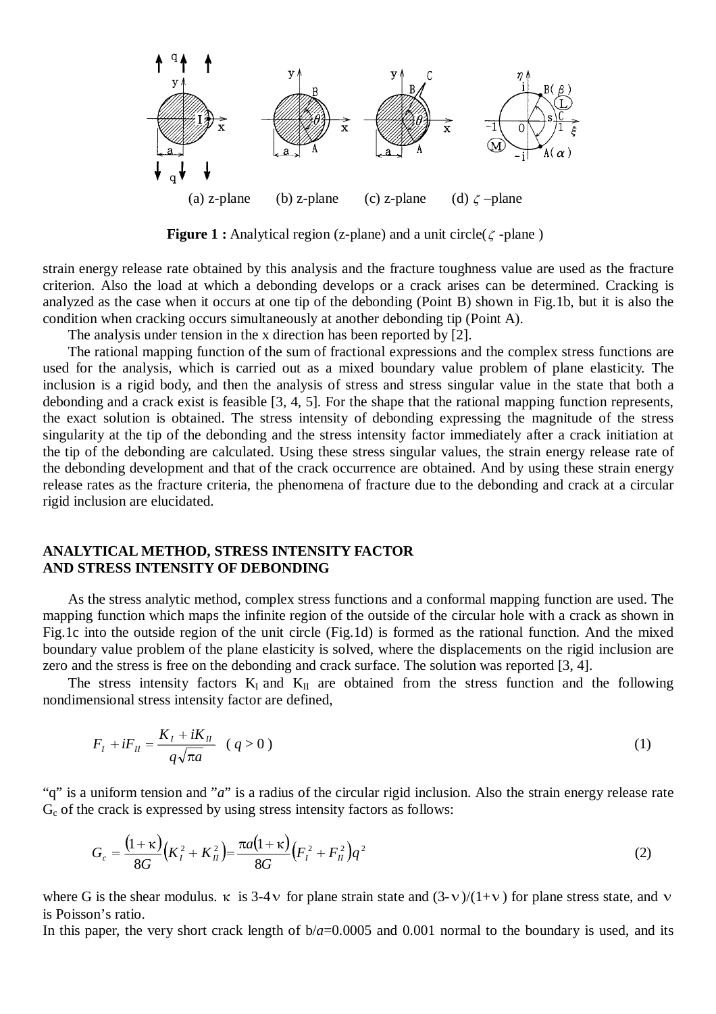

**Figure 1 :** Analytical region (z-plane) and a unit circle( $\zeta$ -plane)

strain energy release rate obtained by this analysis and the fracture toughness value are used as the fracture criterion. Also the load at which a debonding develops or a crack arises can be determined. Cracking is analyzed as the case when it occurs at one tip of the debonding (Point B) shown in Fig.1b, but it is also the condition when cracking occurs simultaneously at another debonding tip (Point A).

The analysis under tension in the x direction has been reported by [2].

The rational mapping function of the sum of fractional expressions and the complex stress functions are used for the analysis, which is carried out as a mixed boundary value problem of plane elasticity. The inclusion is a rigid body, and then the analysis of stress and stress singular value in the state that both a debonding and a crack exist is feasible [3, 4, 5]. For the shape that the rational mapping function represents, the exact solution is obtained. The stress intensity of debonding expressing the magnitude of the stress singularity at the tip of the debonding and the stress intensity factor immediately after a crack initiation at the tip of the debonding are calculated. Using these stress singular values, the strain energy release rate of the debonding development and that of the crack occurrence are obtained. And by using these strain energy release rates as the fracture criteria, the phenomena of fracture due to the debonding and crack at a circular rigid inclusion are elucidated.

# **ANALYTICAL METHOD, STRESS INTENSITY FACTOR AND STRESS INTENSITY OF DEBONDING**

As the stress analytic method, complex stress functions and a conformal mapping function are used. The mapping function which maps the infinite region of the outside of the circular hole with a crack as shown in Fig.1c into the outside region of the unit circle (Fig.1d) is formed as the rational function. And the mixed boundary value problem of the plane elasticity is solved, where the displacements on the rigid inclusion are zero and the stress is free on the debonding and crack surface. The solution was reported [3, 4]. **NLYTICAL METHOD, STRESS INTENSITY FACTOR**<br>**O STRESS INTENSITY OF DEBONDING**<br>As the stress analytic method, complex stress functions and a conformal mapping function are used. The<br>ping function which maps the infinite reg

nondimensional stress intensity factor are defined,

$$
F_{I} + iF_{II} = \frac{K_{I} + iK_{II}}{q\sqrt{\pi a}} \quad (q > 0)
$$
 (1)

"q" is a uniform tension and "*a*" is a radius of the circular rigid inclusion. Also the strain energy release rate  $G<sub>c</sub>$  of the crack is expressed by using stress intensity factors as follows:

$$
G_c = \frac{(1+\kappa)}{8G} \left(K_I^2 + K_{II}^2\right) = \frac{\pi a (1+\kappa)}{8G} \left(F_I^2 + F_{II}^2\right) q^2 \tag{2}
$$

where G is the shear modulus.  $\kappa$  is 3-4  $\upsilon$  for plane strain state and (3- $\upsilon$ )/(1+ $\upsilon$ ) for plane stress state, and  $\upsilon$ is Poisson's ratio.

In this paper, the very short crack length of  $b/a$ =0.0005 and 0.001 normal to the boundary is used, and its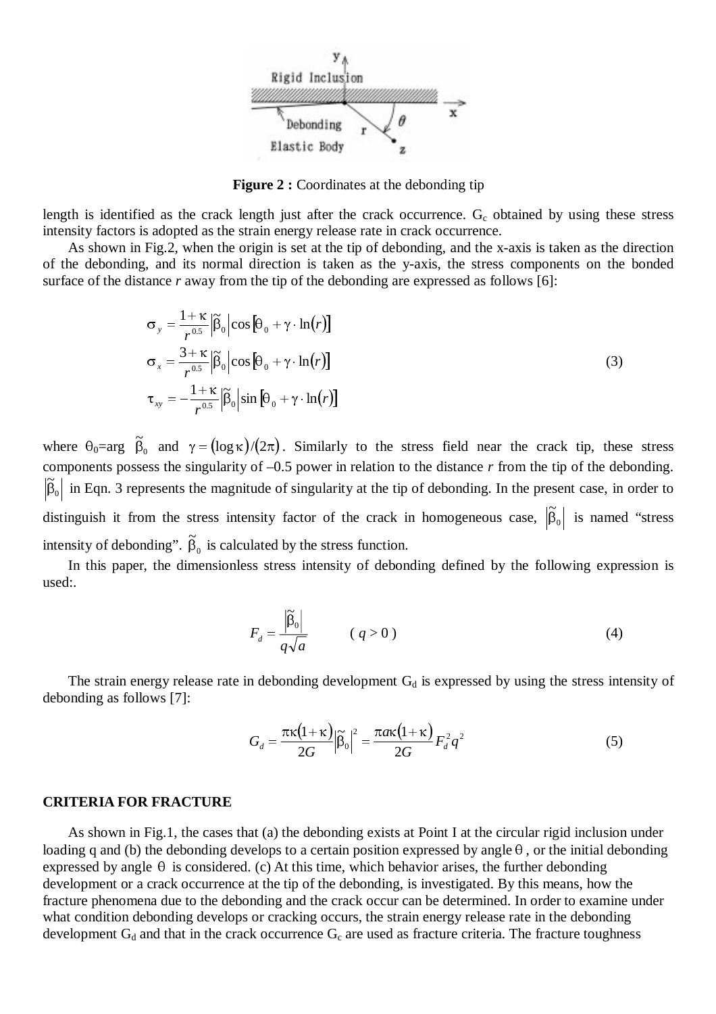

**Figure 2 :** Coordinates at the debonding tip

length is identified as the crack length just after the crack occurrence.  $G_c$  obtained by using these stress intensity factors is adopted as the strain energy release rate in crack occurrence.

As shown in Fig.2, when the origin is set at the tip of debonding, and the x-axis is taken as the direction of the debonding, and its normal direction is taken as the y-axis, the stress components on the bonded surface of the distance *r* away from the tip of the debonding are expressed as follows [6]:

$$
\sigma_{y} = \frac{1+\kappa}{r^{0.5}} \left| \tilde{\beta}_{0} \right| \cos \left[ \theta_{0} + \gamma \cdot \ln(r) \right]
$$
  
\n
$$
\sigma_{x} = \frac{3+\kappa}{r^{0.5}} \left| \tilde{\beta}_{0} \right| \cos \left[ \theta_{0} + \gamma \cdot \ln(r) \right]
$$
  
\n
$$
\tau_{xy} = -\frac{1+\kappa}{r^{0.5}} \left| \tilde{\beta}_{0} \right| \sin \left[ \theta_{0} + \gamma \cdot \ln(r) \right]
$$
\n(3)

where  $\theta_0 = \arg \widetilde{\beta}_0$  and  $\gamma = (\log \kappa)/(2\pi)$ . Similarly to the stress field near the crack tip, these stress components possess the singularity of –0.5 power in relation to the distance *r* from the tip of the debonding.  $\boldsymbol{0}$  $|\tilde{\beta}_0|$  in Eqn. 3 represents the magnitude of singularity at the tip of debonding. In the present case, in order to distinguish it from the stress intensity factor of the crack in homogeneous case,  $|\tilde{\beta}_0|$  is named "stress intensity of debonding".  $\tilde{\beta}_0$  is calculated by the stress function.

In this paper, the dimensionless stress intensity of debonding defined by the following expression is used:.

$$
F_d = \frac{\left| \widetilde{\beta}_0 \right|}{q\sqrt{a}} \qquad (q > 0)
$$
 (4)

The strain energy release rate in debonding development  $G_d$  is expressed by using the stress intensity of debonding as follows [7]:

$$
G_d = \frac{\pi \kappa (1 + \kappa)}{2G} \left| \tilde{\beta}_0 \right|^2 = \frac{\pi a \kappa (1 + \kappa)}{2G} F_d^2 q^2 \tag{5}
$$

#### **CRITERIA FOR FRACTURE**

As shown in Fig.1, the cases that (a) the debonding exists at Point I at the circular rigid inclusion under loading q and (b) the debonding develops to a certain position expressed by angle  $\theta$ , or the initial debonding expressed by angle  $\theta$  is considered. (c) At this time, which behavior arises, the further debonding development or a crack occurrence at the tip of the debonding, is investigated. By this means, how the fracture phenomena due to the debonding and the crack occur can be determined. In order to examine under what condition debonding develops or cracking occurs, the strain energy release rate in the debonding development  $G_d$  and that in the crack occurrence  $G_c$  are used as fracture criteria. The fracture toughness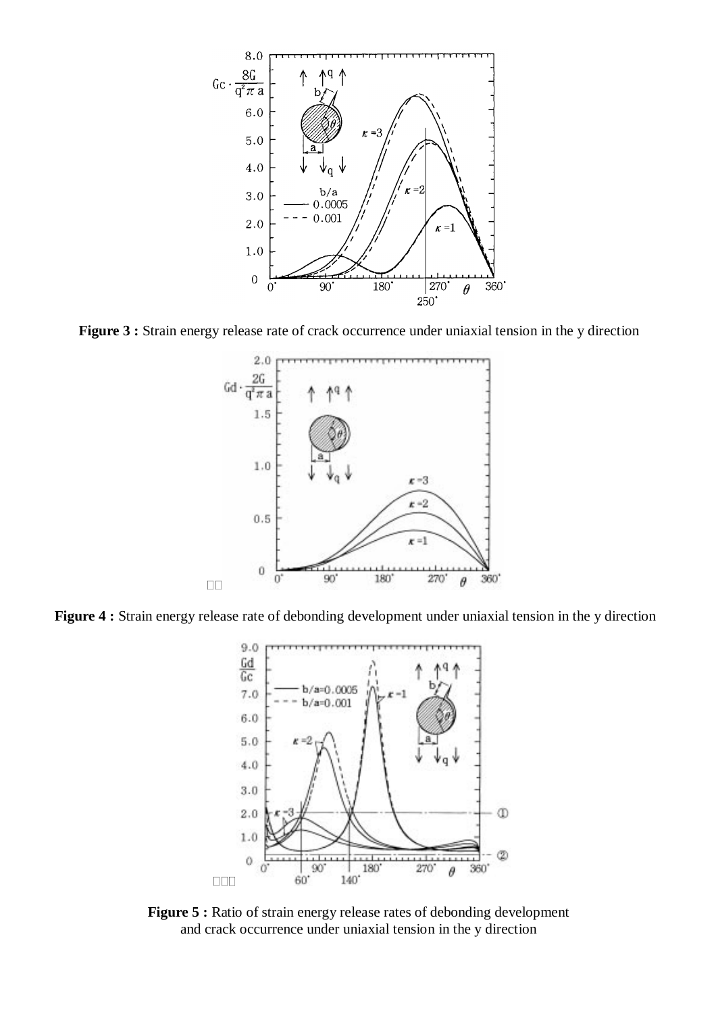

**Figure 3 :** Strain energy release rate of crack occurrence under uniaxial tension in the y direction



**Figure 4 :** Strain energy release rate of debonding development under uniaxial tension in the y direction



**Figure 5 :** Ratio of strain energy release rates of debonding development and crack occurrence under uniaxial tension in the y direction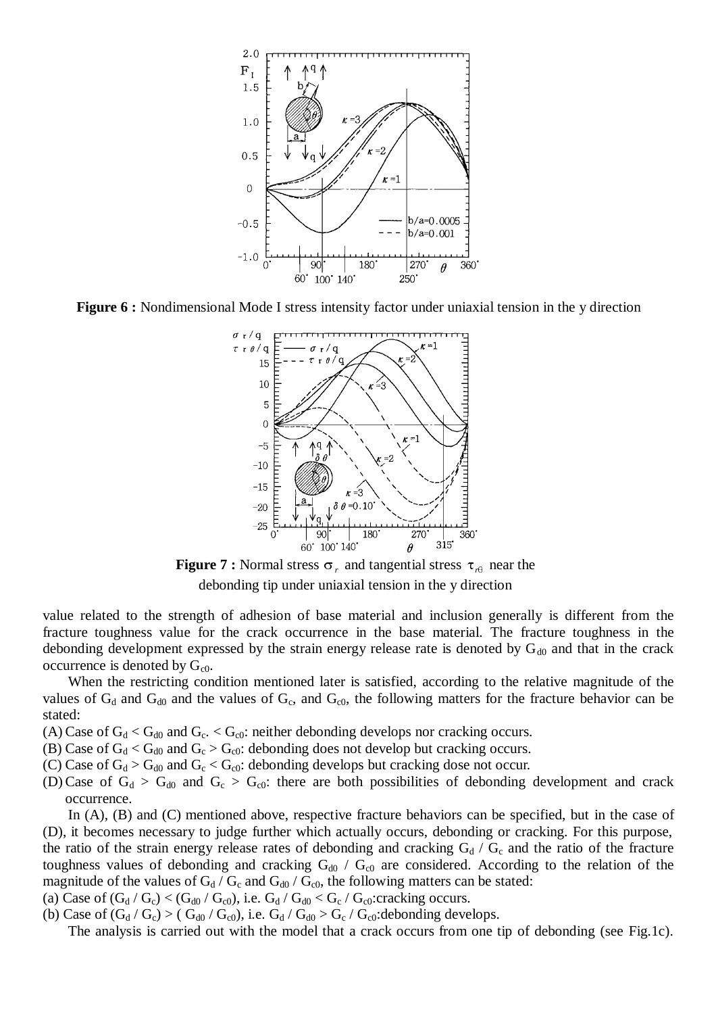

**Figure 6 :** Nondimensional Mode I stress intensity factor under uniaxial tension in the y direction



**Figure 7 :** Normal stress  $\sigma_r$  and tangential stress  $\tau_{r\theta}$  near the debonding tip under uniaxial tension in the y direction

value related to the strength of adhesion of base material and inclusion generally is different from the fracture toughness value for the crack occurrence in the base material. The fracture toughness in the debonding development expressed by the strain energy release rate is denoted by  $G_{d0}$  and that in the crack occurrence is denoted by  $G_{c0}$ .

When the restricting condition mentioned later is satisfied, according to the relative magnitude of the values of  $G_d$  and  $G_{d0}$  and the values of  $G_c$ , and  $G_{c0}$ , the following matters for the fracture behavior can be stated:

(A) Case of  $G_d < G_{d0}$  and  $G_c < G_{c0}$ : neither debonding develops nor cracking occurs.

(B) Case of  $G_d < G_{d0}$  and  $G_c > G_{c0}$ : debonding does not develop but cracking occurs.

(C) Case of  $G_d > G_{d0}$  and  $G_c < G_{c0}$ : debonding develops but cracking dose not occur.

(D) Case of  $G_d > G_{d0}$  and  $G_c > G_{c0}$ : there are both possibilities of debonding development and crack occurrence.

In (A), (B) and (C) mentioned above, respective fracture behaviors can be specified, but in the case of (D), it becomes necessary to judge further which actually occurs, debonding or cracking. For this purpose, the ratio of the strain energy release rates of debonding and cracking  $G_d / G_c$  and the ratio of the fracture toughness values of debonding and cracking  $G_{d0}$  /  $G_{c0}$  are considered. According to the relation of the magnitude of the values of  $G_d/G_c$  and  $G_{d0}/G_{c0}$ , the following matters can be stated:

(a) Case of  $(G_d/G_c) < (G_{d0}/G_c)$ , i.e.  $G_d/G_{d0} < G_c/G_c$ : cracking occurs.

(b) Case of  $(G_d/G_c) > (G_{d0}/G_{c0})$ , i.e.  $G_d/G_{d0} > G_c/G_{c0}$ : debonding develops.

The analysis is carried out with the model that a crack occurs from one tip of debonding (see Fig.1c).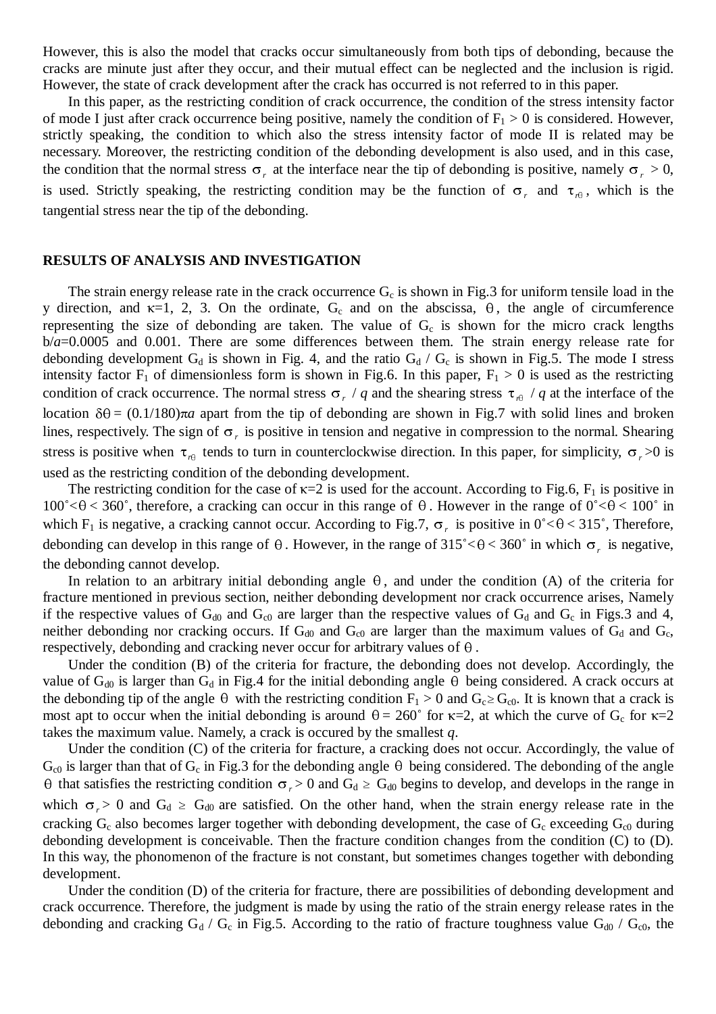However, this is also the model that cracks occur simultaneously from both tips of debonding, because the cracks are minute just after they occur, and their mutual effect can be neglected and the inclusion is rigid. However, the state of crack development after the crack has occurred is not referred to in this paper.

In this paper, as the restricting condition of crack occurrence, the condition of the stress intensity factor of mode I just after crack occurrence being positive, namely the condition of  $F_1 > 0$  is considered. However, strictly speaking, the condition to which also the stress intensity factor of mode II is related may be necessary. Moreover, the restricting condition of the debonding development is also used, and in this case, the condition that the normal stress  $\sigma_r$  at the interface near the tip of debonding is positive, namely  $\sigma_r > 0$ , is used. Strictly speaking, the restricting condition may be the function of  $\sigma_r$  and  $\tau_{r+1}$ , which is the tangential stress near the tip of the debonding.

#### **RESULTS OF ANALYSIS AND INVESTIGATION**

The strain energy release rate in the crack occurrence  $G_c$  is shown in Fig.3 for uniform tensile load in the y direction, and  $\kappa=1$ , 2, 3. On the ordinate, G<sub>c</sub> and on the abscissa,  $\theta$ , the angle of circumference representing the size of debonding are taken. The value of  $G_c$  is shown for the micro crack lengths b/*a*=0.0005 and 0.001. There are some differences between them. The strain energy release rate for debonding development  $G_d$  is shown in Fig. 4, and the ratio  $G_d / G_c$  is shown in Fig.5. The mode I stress intensity factor  $F_1$  of dimensionless form is shown in Fig.6. In this paper,  $F_1 > 0$  is used as the restricting condition of crack occurrence. The normal stress  $\sigma$ , / *q* and the shearing stress  $\tau$ <sub>re</sub> / *q* at the interface of the location  $\delta\theta = (0.1/180)\pi a$  apart from the tip of debonding are shown in Fig.7 with solid lines and broken lines, respectively. The sign of  $\sigma_r$  is positive in tension and negative in compression to the normal. Shearing stress is positive when  $\tau_{r\theta}$  tends to turn in counterclockwise direction. In this paper, for simplicity,  $\sigma_r > 0$  is used as the restricting condition of the debonding development.

The restricting condition for the case of  $\kappa=2$  is used for the account. According to Fig.6,  $F_1$  is positive in  $100^{\circ}$  <  $\theta$  < 360°, therefore, a cracking can occur in this range of  $\theta$ . However in the range of  $0^{\circ}$  <  $\theta$  < 100° in which F<sub>1</sub> is negative, a cracking cannot occur. According to Fig.7,  $\sigma_r$  is positive in  $0<\theta<315^\circ$ , Therefore, debonding can develop in this range of  $\theta$ . However, in the range of 315°< $\theta$  < 360° in which  $\sigma_r$  is negative, the debonding cannot develop.

In relation to an arbitrary initial debonding angle  $\theta$ , and under the condition (A) of the criteria for fracture mentioned in previous section, neither debonding development nor crack occurrence arises, Namely if the respective values of  $G_{d0}$  and  $G_{c0}$  are larger than the respective values of  $G_d$  and  $G_c$  in Figs.3 and 4, neither debonding nor cracking occurs. If  $G<sub>d0</sub>$  and  $G<sub>c0</sub>$  are larger than the maximum values of  $G<sub>d</sub>$  and  $G<sub>c</sub>$ , respectively, debonding and cracking never occur for arbitrary values of  $\theta$ .

Under the condition (B) of the criteria for fracture, the debonding does not develop. Accordingly, the value of G<sub>d0</sub> is larger than G<sub>d</sub> in Fig.4 for the initial debonding angle  $\theta$  being considered. A crack occurs at the debonding tip of the angle  $\theta$  with the restricting condition F<sub>1</sub> > 0 and G<sub>c</sub> ≥ G<sub>c0</sub>. It is know the debonding tip of the angle  $\theta$  with the restricting condition  $F_1 > 0$  and  $G_c \geq G_{c0}$ . It is known that a crack is takes the maximum value. Namely, a crack is occured by the smallest *q*.

Under the condition (C) of the criteria for fracture, a cracking does not occur. Accordingly, the value of  $G_{c0}$  is larger than that of  $G_c$  in Fig.3 for the debonding angle  $\theta$  being considered. The debonding of the angle  $\theta$  that satisfies the restricting condition  $\sigma$ ,  $> 0$  and  $G_d \geq G_{d0}$  begins to develop, and develops in the range in which  $\sigma_r > 0$  and  $G_d \ge G_{d0}$  are satisfied. On the other hand, when the strain energy release rate in the cracking  $G_c$  also becomes larger together with debonding development, the case of  $G_c$  exceeding  $G_{c0}$  during debonding development is conceivable. Then the fracture condition changes from the condition (C) to (D). In this way, the phonomenon of the fracture is not constant, but sometimes changes together with debonding development.

Under the condition (D) of the criteria for fracture, there are possibilities of debonding development and crack occurrence. Therefore, the judgment is made by using the ratio of the strain energy release rates in the debonding and cracking  $G_d / G_c$  in Fig.5. According to the ratio of fracture toughness value  $G_{d0} / G_{c0}$ , the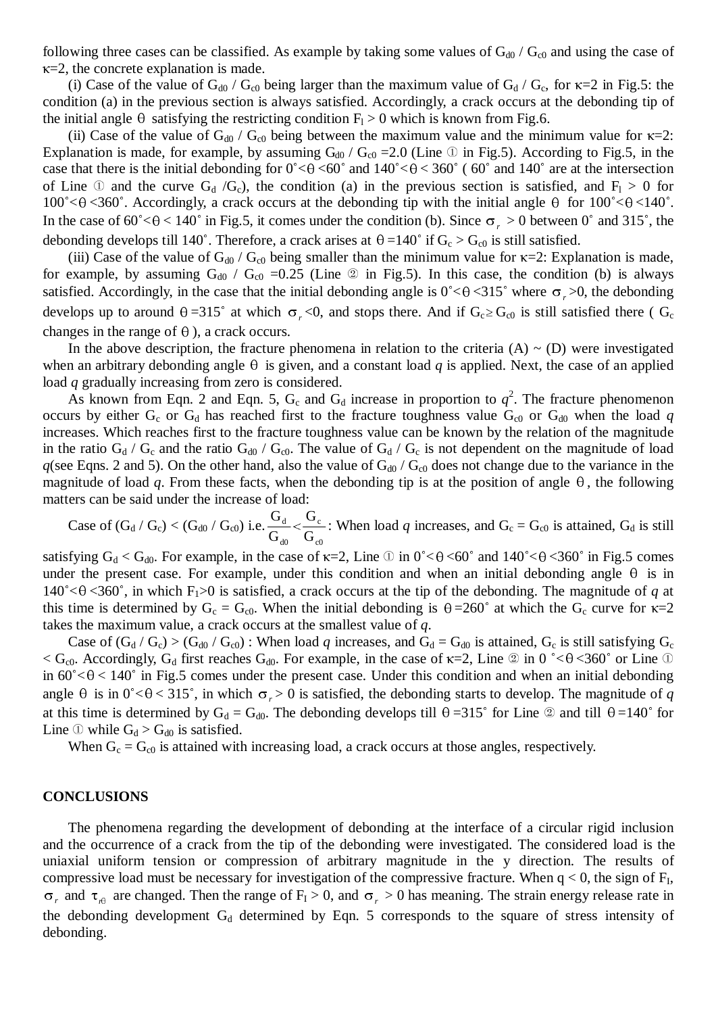following three cases can be classified. As example by taking some values of  $G_{d0}$  /  $G_{c0}$  and using the case of  $\kappa$ =2, the concrete explanation is made.

(i) Case of the value of  $G_{d0}$  /  $G_{c0}$  being larger than the maximum value of  $G_d$  /  $G_c$ , for  $\kappa=2$  in Fig.5: the condition (a) in the previous section is always satisfied. Accordingly, a crack occurs at the debonding tip of the initial angle  $\theta$  satisfying the restricting condition  $F_1 > 0$  which is known from Fig.6.

(ii) Case of the value of G<sub>d0</sub> / G<sub>c0</sub> being between the maximum value and the minimum value for  $\kappa$ =2: Explanation is made, for example, by assuming  $G_{d0}$  /  $G_{c0}$  = 2.0 (Line  $\textcircled{1}$  in Fig.5). According to Fig.5, in the (ii) Case of the value of G<sub>d0</sub> / G<sub>c0</sub> being between the maximum value and the minimum value for  $\kappa$ =2:<br>Explanation is made, for example, by assuming G<sub>d0</sub> / G<sub>c0</sub> =2.0 (Line ① in Fig.5). According to Fig.5, in the cas of Line  $\oplus$  and the curve G<sub>d</sub> /G<sub>c</sub>), the condition (a) in the previous section is satisfied, and F<sub>1</sub> > 0 for 100°< $\theta$ <360°. Accordingly, a crack occurs at the debonding tip with the initial angle  $\theta$  for 100°< $\theta$ < case that there is the initial debonding for  $0^{\circ} < \theta < 60^{\circ}$  and  $140^{\circ} < \theta < 360^{\circ}$  (60° and 140° are at the intersection of Line  $\textcircled{1}$  and the curve  $G_d/G_c$ ), the condition (a) in the previous section is satisfi In the case of  $60^{\circ} < \theta < 140^{\circ}$  in Fig.5, it comes under the condition (b). Since  $\sigma_r > 0$  between 0° and 315°, the debonding develops till 140°. Therefore, a crack arises at  $\theta = 140^{\circ}$  if  $G_c > G_{c0}$  is still satis

(iii) Case of the value of G<sub>d0</sub> / G<sub>c0</sub> being smaller than the minimum value for  $\kappa$ =2: Explanation is made, for example, by assuming G<sub>d0</sub> / G<sub>c0</sub> =0.25 (Line 2) in Fig.5). In this case, the condition (b) is always sa for example, by assuming  $G_{d0}$  /  $G_{c0}$  =0.25 (Line  $\circledcirc$  in Fig.5). In this case, the condition (b) is always satisfied. Accordingly, in the case that the initial debonding angle is  $0^{\circ} < \theta < 315^{\circ}$  where  $\sigma_r > 0$ , the debonding develops up to around  $\theta = 315^{\circ}$  at which  $\sigma_r < 0$ , and stops there. And if  $G_c \ge G_{c0}$  is still changes in the range of  $\theta$ ), a crack occurs.

In the above description, the fracture phenomena in relation to the criteria  $(A) \sim (D)$  were investigated when an arbitrary debonding angle  $\theta$  is given, and a constant load *q* is applied. Next, the case of an applied load *q* gradually increasing from zero is considered.

As known from Eqn. 2 and Eqn. 5,  $G_c$  and  $G_d$  increase in proportion to  $q^2$ . The fracture phenomenon occurs by either  $G_c$  or  $G_d$  has reached first to the fracture toughness value  $G_{c0}$  or  $G_{d0}$  when the load q increases. Which reaches first to the fracture toughness value can be known by the relation of the magnitude in the ratio  $G_d / G_c$  and the ratio  $G_{d0} / G_c$ . The value of  $G_d / G_c$  is not dependent on the magnitude of load  $q$ (see Eqns. 2 and 5). On the other hand, also the value of  $G_{d0}$  /  $G_{c0}$  does not change due to the variance in the magnitude of load *q*. From these facts, when the debonding tip is at the position of angle  $\theta$ , the following matters can be said under the increase of load:

Case of  $(G_d / G_c) < (G_{d0} / G_{c0})$  i.e. c0 c d0 d G G G Case of  $(G_d / G_c) < (G_{d0} / G_{c0})$  i.e.  $\frac{G_d}{G_{d0}} < \frac{G_c}{G_{c0}}$ : When load *q* increases, and  $G_c = G_{c0}$  is attained,  $G_d$  is still satisfying  $G_d < G_{d0}$ . For example, in the case of  $\kappa = 2$ , Line  $\odot$  in  $0^\circ < \theta < 60^\circ$  an

under the present case. For example, under this condition and when an initial debonding angle  $\theta$  is in satisfying  $G_d < G_{d0}$ . For example, in the case of  $\kappa=2$ , Line  $\Im$  in  $0<sup>\circ</sup> < \theta < 60<sup>\circ</sup>$  and  $140<sup>\circ</sup> < \theta < 360<sup>\circ</sup>$  in Fig.5 comes under the present case. For example, under this condition and when an initia under the present case. For example, under this condition and when an initial debonding angle  $\theta$  is in 140° <  $\theta$  < 360°, in which  $F_1$  > 0 is satisfied, a crack occurs at the tip of the debonding. The magnitude of q takes the maximum value, a crack occurs at the smallest value of *q*.

Case of  $(G_d/G_c) > (G_{d0}/G_c)$ : When load *q* increases, and  $G_d = G_{d0}$  is attained,  $G_c$  is still satisfying  $G_c$ takes the maximum value, a crack occurs at the smallest value of q.<br>Case of  $(G_d/G_c) > (G_{d0}/G_{c0})$ : When load q increases, and  $G_d = G_{d0}$  is attained,  $G_c$  is still satisfying  $G_c$ <br><  $G_{c0}$ . Accordingly,  $G_d$  first reaches Case of  $(G_d/G_c) > (G_{d0}/G_{c0})$ : When load q increases, and  $G_d = G_{d0}$  is attained,  $G_c$  is still satisfying  $G_c$ <br><  $G_{c0}$ . Accordingly,  $G_d$  first reaches  $G_{d0}$ . For example, in the case of  $\kappa=2$ , Line 2 in 0 °<  $\theta$  <3  $<$  G<sub>c0</sub>. Accordingly, G<sub>d</sub> first reaches G<sub>d0</sub>. For example, in the case of  $\kappa$ =2, Line  $\Omega$  in 0°< $\theta$  < 360° or Line  $\Omega$  in 60° <  $\theta$  < 140° in Fig.5 comes under the present case. Under this condition and when an at this time is determined by  $G_d = G_{d0}$ . The debonding develops till  $\theta = 315^\circ$  for Line 2 and till  $\theta = 140^\circ$  for Line  $\Phi$  while  $G_d > G_{d0}$  is satisfied.

When  $G_c = G_{c0}$  is attained with increasing load, a crack occurs at those angles, respectively.

#### **CONCLUSIONS**

The phenomena regarding the development of debonding at the interface of a circular rigid inclusion and the occurrence of a crack from the tip of the debonding were investigated. The considered load is the uniaxial uniform tension or compression of arbitrary magnitude in the y direction. The results of compressive load must be necessary for investigation of the compressive fracture. When  $q < 0$ , the sign of  $F_I$ ,  $\sigma_r$  and  $\tau_{r0}$  are changed. Then the range of  $F_I > 0$ , and  $\sigma_r > 0$  has meaning. The strain energy release rate in the debonding development  $G_d$  determined by Eqn. 5 corresponds to the square of stress intensity of debonding.